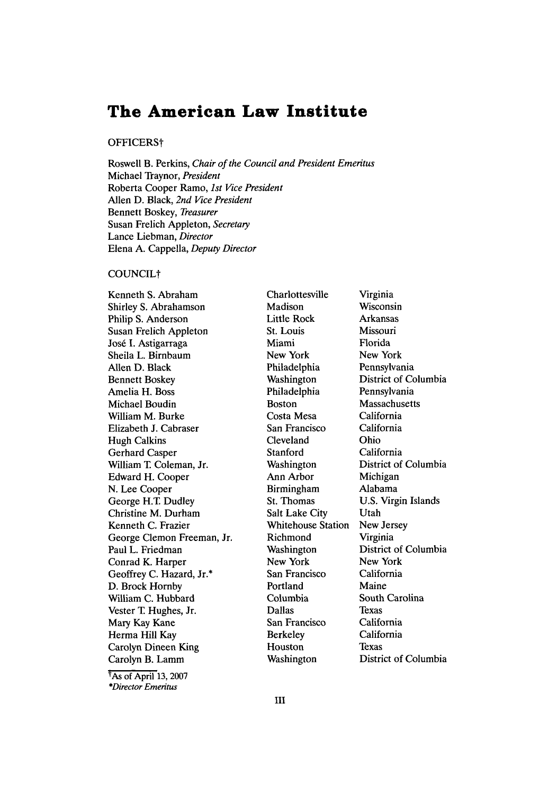# **The American Law Institute**

## OFFICERSt

Roswell B. Perkins, *Chair of the Council and President Emeritus* Michael Traynor, *President* Roberta Cooper Ramo, *1st Vice President* Allen D. Black, *2nd Vice President* Bennett Boskey, *Treasurer* Susan Frelich Appleton, *Secretary* Lance Liebman, *Director* Elena A. Cappella, *Deputy Director*

# COUNCILt

Kenneth S. Abraham Shirley S. Abrahamson Philip S. Anderson Susan Frelich Appleton José I. Astigarraga Sheila L. Birnbaum Allen D. Black Bennett Boskey Amelia H. Boss Michael Boudin William M. Burke Elizabeth J. Cabraser Hugh Calkins Gerhard Casper William T. Coleman, Jr. Edward H. Cooper N. Lee Cooper George H.T Dudley Christine M. Durham Kenneth C. Frazier George Clemon Freeman, Jr. Paul L. Friedman Conrad K. Harper Geoffrey C. Hazard, Jr.\* D. Brock Homby William C. Hubbard Vester T Hughes, Jr. Mary Kay Kane Herma Hill Kay Carolyn Dineen King Carolyn B. Lamm

TAs of April 13, 2007 *\*Director Emeritus*

Charlottesville Madison Little Rock St. Louis Miami New York Philadelphia Washington Philadelphia Boston Costa Mesa San Francisco Cleveland Stanford Washington Ann Arbor Birmingham St. Thomas Salt Lake City Whitehouse Station Richmond Washington New York San Francisco Portland Columbia Dallas San Francisco Berkeley Houston Washington

Virginia Wisconsin Arkansas Missouri Florida New York Pennsylvania District of Columbia Pennsylvania Massachusetts California California Ohio California District of Columbia Michigan Alabama U.S. Virgin Islands Utah New Jersey Virginia District of Columbia New York California Maine South Carolina Texas California California Texas District of Columbia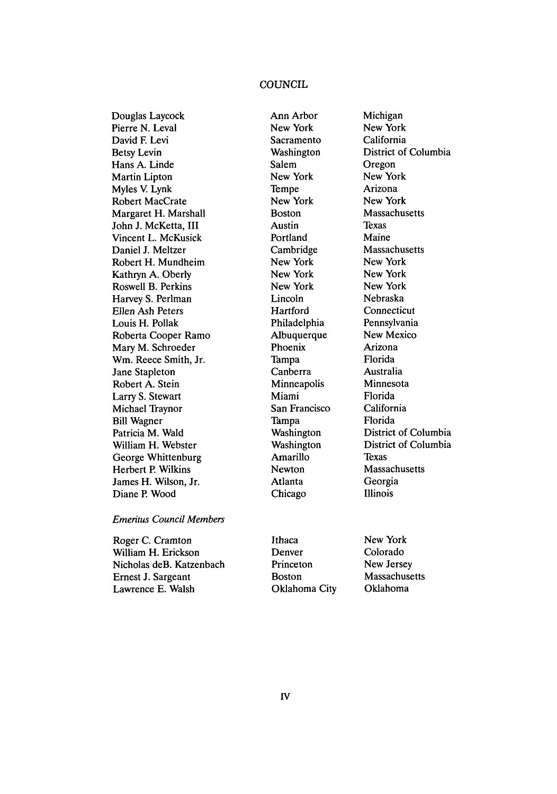# **COUNCIL**

Ann Arbor

Douglas Laycock Pierre N. Leval David **F** Levi Betsy Levin Hans A. Linde Martin Lipton Myles V. Lynk Robert MacCrate Margaret H. Marshall John J. McKetta, III Vincent L. McKusick Daniel J. Meltzer Robert H. Mundheim Kathryn A. Oberly Roswell B. Perkins Harvey S. Perlman Ellen Ash Peters Louis H. Pollak Roberta Cooper Ramo Mary M. Schroeder Win. Reece Smith, Jr. Jane Stapleton Robert A. Stein Larry S. Stewart Michael Traynor Bill Wagner Patricia M. Wald William H. Webster George Whittenburg Herbert P. Wilkins James H. Wilson, Jr. Diane P. Wood

New York Sacramento Washington Salem New York Tempe New York Boston Austin Portland Cambridge New York New York New York Lincoln **Hartford** Philadelphia **Albuquerque** Phoenix Tampa Canberra **Minneapolis** Miami San Francisco Tampa Washington Washington Amarillo Newton Atlanta Chicago

Michigan New York California District of Columbia Oregon New York Arizona New York Massachusetts **Texas** Maine **Massachusetts** New York New York New York Nebraska Connecticut Pennsylvania New Mexico Arizona Florida Australia Minnesota Florida California Florida District of Columbia District of Columbia Texas **Massachusetts** Georgia Illinois

## *Emeritus Council Members*

Roger C. Cramton William H. Erickson Nicholas deB. Katzenbach Ernest J. Sargeant Lawrence E. Walsh

Ithaca Denver Princeton Boston Oklahoma City New York Colorado New Jersey Massachusetts Oklahoma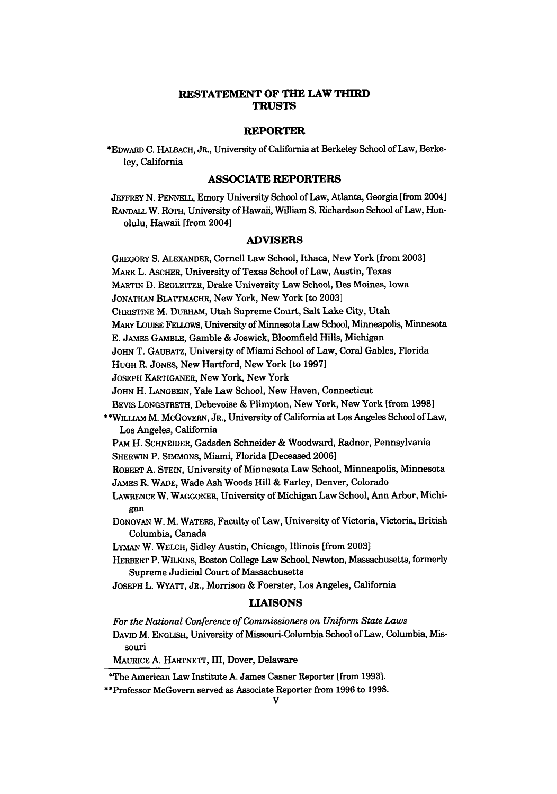## **RESTATEMENT OF THE LAW THIRD TRUSTS**

## **REPORTER**

\*EDWARD C. HALBACH, JR., University of California at Berkeley School of Law, Berkeley, California

#### **ASSOCIATE REPORTERS**

**JEFFREY N. PENNELL,** Emory University School of Law, Atlanta, Georgia [from 2004] RANDALL W. ROTH, University of Hawaii, William **S.** Richardson School of Law, Honolulu, Hawaii [from 2004]

#### **ADVISERS**

GREGORY **S.** ALEXANDER, Cornell Law School, Ithaca, New York [from **20031 MARK** L. ASCHER, University of Texas School of Law, Austin, Texas MARTIN **D.** BEGLEITER, Drake University Law School, Des Moines, Iowa JONATHAN BLATTMACHR, New York, New York [to **2003]** CHRISTINE M. DURHAM, Utah Supreme Court, Salt Lake City, Utah MARY LOUISE FELLOWS, University of Minnesota Law School, Minneapolis, Minnesota **E.** JAMES GAMBLE, Gamble **&** Joswick, Bloomfield Hills, Michigan **JOHN** T. GAUBATZ, University of Miami School of Law, Coral Gables, Florida HUGH R. JONES, New Hartford, New York [to **1997] JOSEPH** KARTIGANER, New York, New York **JOHN** H. **LANGBEIN,** Yale Law School, New Haven, Connecticut BEVIS **LONGSTRETH,** Debevoise & Plimpton, New York, New York [from **1998]** \*\*WILLIAM M. McGOvERN, JR., University of California at Los Angeles School of Law, Los Angeles, California PAM H. **SCHNEIDER,** Gadsden Schneider **&** Woodward, Radnor, Pennsylvania SHERWIN P. SIMMONS, Miami, Florida [Deceased **2006]** ROBERT **A. STEIN,** University of Minnesota Law School, Minneapolis, Minnesota JAMES R. WADE, Wade Ash Woods Hill **&** Farley, Denver, Colorado LAWRENCE W. WAGGONER, University of Michigan Law School, Ann Arbor, Michigan DONOVAN W. M. WATERS, Faculty of Law, University of Victoria, Victoria, British Columbia, Canada LYMAN W. WELCH, Sidley Austin, Chicago, Illinois [from **2003]** HERBERT P. WILKINS, Boston College Law School, Newton, Massachusetts, formerly Supreme Judicial Court of Massachusetts JOSEPH L. WYATT, JR., Morrison & Foerster, Los Angeles, California **LIAISONS** *For the National Conference of Commissioners on Uniform State Laws* DAVID M. **ENGLISH,** University of Missouri-Columbia School of Law, Columbia, Mis-

souri

MAURICE **A.** HARTNETT, III, Dover, Delaware

\*The American Law Institute A. James Casner Reporter [from **1993).**

\*\*Professor McGovern served as Associate Reporter from **1996** to **1998.**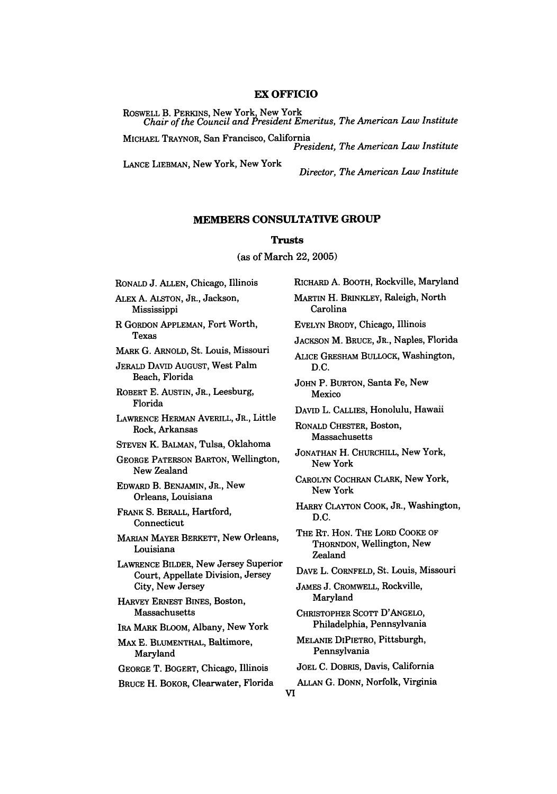# **EX OFFICIO**

ROSWELL B. PERKINS, New York New York *Chair of the Council and President Emeritus, The American Law Institute*

MICHAEL TRAYNOR, San Francisco, California *President, The American Law Institute*

LANCE **LIEBMAN,** New York, New York

*Director, The American Law Institute*

# **MEMBERS CONSULTATIVE GROUP**

# Trusts

(as of March 22, **2005)**

RONALD J. **ALLEN,** Chicago, Illinois

ALEX **A. ALSTON,** JR., Jackson, Mississippi

R GORDON **APPLEMAN,** Fort Worth, Texas

MARK **G.** ARNOLD, St. Louis, Missouri

**JERALD** DAVID **AUGUST,** West Palm Beach, Florida

ROBERT **E.** AUSTIN, JR., Leesburg, Florida

LAWRENCE HERMAN AVERILL, JR., Little Rock, Arkansas

STEVEN K. BALMAN, Tulsa, Oklahoma

GEORGE PATERSON BARTON, Wellington, New Zealand

EDWARD B. **BENJAMIN,** JR., New Orleans, Louisiana

FRANK S. BERALL, Hartford, Connecticut

MARIAN MAYER BERKETT, New Orleans, Louisiana

LAWRENCE BILDER, New Jersey Superior Court, Appellate Division, Jersey City, New Jersey

HARVEY ERNEST BINES, Boston, Massachusetts

IRA MARK BLOOM, Albany, New York

MAX **E.** BLUMENTHAL, Baltimore, Maryland

GEORGE T. BOGERT, Chicago, Illinois

BRUCE H. BOKOR, Clearwater, Florida

RICHARD A. BOOTH, Rockville, Maryland MARTIN H. BRINKLEY, Raleigh, North Carolina EVELYN BRODY, Chicago, Illinois **JACKSON** M. BRUCE, JR., Naples, Florida ALICE GRESHAM BULLOCK, Washington, **D.C.** JOHN P. BURTON, Santa Fe, New Mexico DAVID L. CALLIES, Honolulu, Hawaii RONALD CHESTER, Boston, Massachusetts JONATHAN H. CHURCHILL, New York, New York CAROLYN **COCHRAN** CLARK, New York, New York HARRY **CLAYTON** COOK, JR., Washington, **D.C.** THE RT. HON. THE **LORD** COOKE OF THORNDON, Wellington, New Zealand DAVE L. CORNFELD, St. Louis, Missouri **JAMES J.** CROMWELL, Rockville, Maryland CHRISTOPHER **SCOTT D'ANGELO,** Philadelphia, Pennsylvania **MELANIE** DIPIETRO, Pittsburgh, Pennsylvania JOEL **C.** DOBRIS, Davis, California **ALLAN G. DONN,** Norfolk, Virginia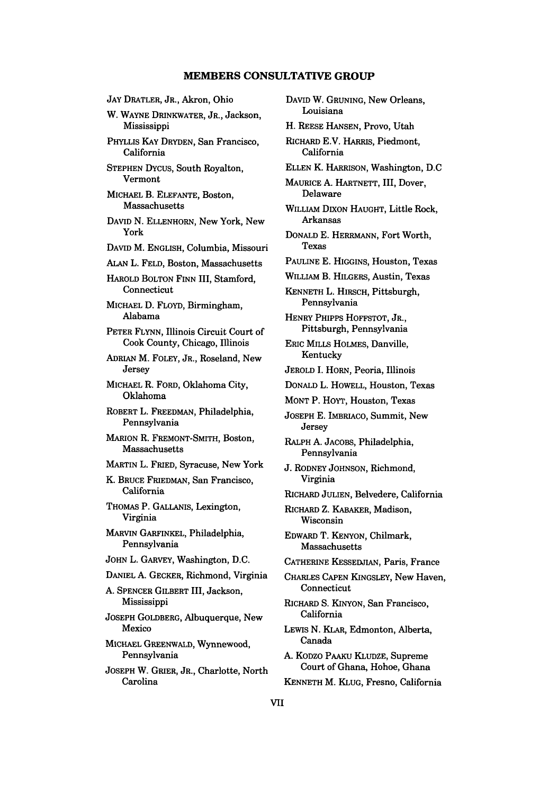# **MEMBERS CONSULTATIVE GROUP**

**JAY** DRATLER, JR., Akron, Ohio W. WAYNE DRINKWATER, JR., Jackson, Mississippi PHYLLIS KAY DRYDEN, San Francisco, California **STEPHEN** DYCUS, South Royalton, Vermont MICHAEL B. **ELEFANTE,** Boston, Massachusetts **DAVID N. ELLENHORN,** New York, New York **DAVID** M. **ENGLISH,** Columbia, Missouri **ALAN** L. **FELD,** Boston, Massachusetts HAROLD BOLTON FINN III, Stamford, Connecticut **MICHAEL D.** FLOYD, Birmingham, Alabama PETER **FLYNN,** Illinois Circuit Court of Cook County, Chicago, Illinois **ADRIAN** M. FOLEY, JR., Roseland, New Jersey MICHAEL R. FORD, Oklahoma City, Oklahoma ROBERT L. FREEDMAN, Philadelphia, Pennsylvania MARION R. FREMONT-SMITH, Boston, Massachusetts MARTIN L. FRIED, Syracuse, New York K. BRUCE FRIEDMAN, San Francisco, California THOMAS P. GALLANIS, Lexington, Virginia MARVIN GARFINKEL, Philadelphia, Pennsylvania JOHN L. GARVEY, Washington, D.C. DANIEL A. GECKER, Richmond, Virginia **A.** SPENCER GILBERT III, Jackson, Mississippi JOSEPH GOLDBERG, Albuquerque, New Mexico MICHAEL GREENWALD, Wynnewood, Pennsylvania **JOSEPH** W. GRIER, JR., Charlotte, North

Carolina

DAVID W. GRUNING, New Orleans, Louisiana H. **REESE HANSEN,** Provo, Utah RICHARD E.V. HARRIS, Piedmont, California **ELLEN** K. HARRISON, Washington, **D.C** MAURICE A. HARTNETT, III, Dover, Delaware WILLIAM **DIXON HAUGHT,** Little Rock, Arkansas **DONALD E.** HERRMANN, Fort Worth, Texas PAULINE **E.** HIGGINS, Houston, Texas WILLIAM B. HILGERS, Austin, Texas **KENNETH** L. HIRSCH, Pittsburgh, Pennsylvania HENRY PHIPPS HOFFSTOT, JR., Pittsburgh, Pennsylvania ERIC MILLS **HOLMES,** Danville, Kentucky **JEROLD I.** HORN, Peoria, Illinois **DONALD** L. HOWELL, Houston, Texas **MONT** P. **HOYT,** Houston, Texas **JOSEPH E.** IMBRIACO, Summit, New **Jersey** RALPH **A.** JACOBS, Philadelphia, Pennsylvania **J.** RODNEY **JOHNSON,** Richmond, Virginia RICHARD **JULIEN,** Belvedere, California RICHARD Z. KABAKER, Madison, Wisconsin EDWARD T. **KENYON,** Chilmark, Massachusetts CATHERINE **KESSEDJIAN,** Paris, France **CHARLES CAPEN** KINGSLEY, New Haven, Connecticut RICHARD S. KINYON, San Francisco, California LEWIS N. KLAR, Edmonton, Alberta, Canada A. KODZO PAAKU KLUDZE, Supreme Court of Ghana, Hohoe, Ghana KENNETH M. KLUG, Fresno, California

VII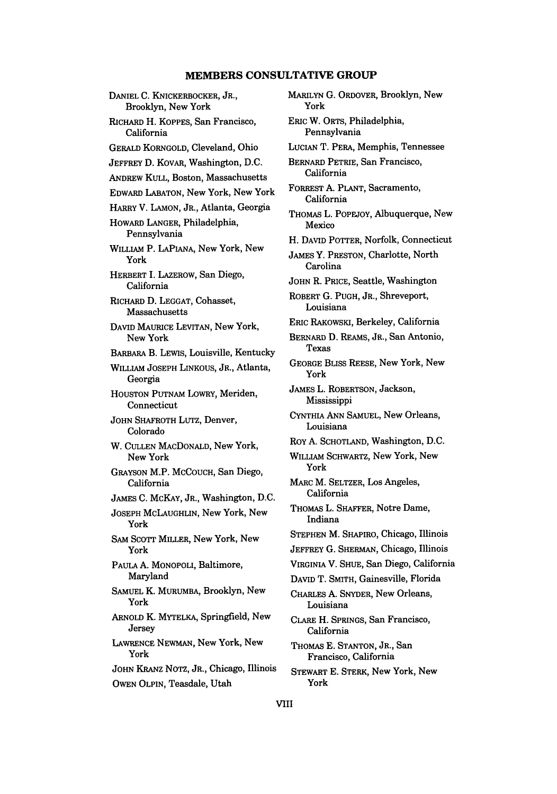### **MEMBERS CONSULTATIVE GROUP**

DANIEL C. KNICKERBOCKER, JR., Brooklyn, New York RICHARD H. KOPPES, San Francisco, California GERALD KORNGOLD, Cleveland, Ohio JEFFREY D. KOVAR, Washington, D.C. ANDREW KULL, Boston, Massachusetts EDWARD LABATON, New York, New York HARRY V. LAMON, JR., Atlanta, Georgia HOwARD LANGER, Philadelphia, Pennsylvania WILLIAM P. LAPIANA, New York, New York HERBERT I. LAZEROW, San Diego, California RICHARD **D.** LEGGAT, Cohasset, Massachusetts **DAVID** MAURICE LEVITAN, New York, New York BARBARA B. LEWIS, Louisville, Kentucky WILLIAM JOSEPH LINKOUS, JR., Atlanta, Georgia HOUSTON PUTNAM LOWRY, Meriden, Connecticut JOHN SHAFROTH LUTZ, Denver, Colorado W. **CULLEN** MACDONALD, New York, New York GRAYSON M.P. MCCOUCH, San Diego, California JAMES C. McKAY, JR., Washington, D.C. JOSEPH McLAUGHLIN, New York, New York SAM SCOTT MILLER, New York, New York PAULA A. MONOPOLI, Baltimore, Maryland SAMUEL K. MURUMBA, Brooklyn, New York ARNOLD K. MYTELKA, Springfield, New Jersey LAWRENCE NEWMAN, New York, New York JOHN KRANZ NOTZ, JR., Chicago, Illinois OWEN OLPIN, Teasdale, Utah

MARILYN G. ORDOVER, Brooklyn, New York **ERIC** W. ORTS, Philadelphia, Pennsylvania LUCIAN T. PERA, Memphis, Tennessee BERNARD PETRIE, San Francisco, California FORREST **A. PLANT,** Sacramento, California THOMAS L. POPEJoY, Albuquerque, New Mexico H. **DAVID** POTTER, Norfolk, Connecticut **JAMES** Y. PRESTON, Charlotte, North Carolina **JOHN** R. PRICE, Seattle, Washington ROBERT **G. PUGH,** JR., Shreveport, Louisiana ERIC **RAKOwSKI,** Berkeley, California BERNARD **D.** REAMS, JR., San Antonio, Texas **GEORGE** BLISS **REESE,** New York, New York JAMES L. ROBERTSON, Jackson, Mississippi CYNTHIA **ANN SAMUEL,** New Orleans, Louisiana RoY **A. SCHOTLAND,** Washington, **D.C.** WILLIAM SCHWARTZ, New York, New York MARC M. SELTZER, Los Angeles, California THOMAS L. SHAFFER, Notre Dame, Indiana **STEPHEN** M. SHAPIRO, Chicago, Illinois **JEFFREY G. SHERMAN,** Chicago, Illinois VIRGINIA V. SHUE, San Diego, California **DAVID** T. SMITH, Gainesville, Florida CHARLES **A.** SNYDER, New Orleans, Louisiana CLARE H. **SPRINGS,** San Francisco, California THOMAS **E. STANTON,** JR., San Francisco, California STEWART **E.** STERK, New York, New

VIII

York